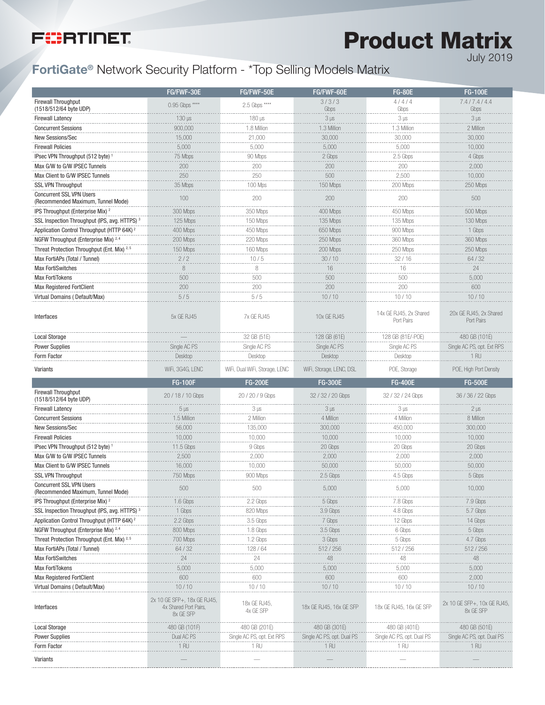# **FIERTINET**

Product Matrix July 2019

### FortiGate® Network Security Platform - \*Top Selling Models Matrix

|                                                                              | FG/FWF-30E                                                                 | FG/FWF-50E                         | FG/FWF-60E                         | <b>FG-80E</b>                        | <b>FG-100E</b>                                   |
|------------------------------------------------------------------------------|----------------------------------------------------------------------------|------------------------------------|------------------------------------|--------------------------------------|--------------------------------------------------|
| Firewall Throughput                                                          | 0.95 Gbps ****                                                             | 2.5 Gbps ****                      | 3/3/3                              | 4/4/4                                | 7.4/7.4/4.4                                      |
| (1518/512/64 byte UDP)                                                       |                                                                            |                                    | Gbps                               | Gbps                                 | Gbps                                             |
| <b>Firewall Latency</b>                                                      | 130 µs                                                                     | 180 µs                             | $3 \mu s$                          | $3 \mu s$                            | $3 \mu s$                                        |
| <b>Concurrent Sessions</b>                                                   | 900,000                                                                    | 1.8 Million                        | 1.3 Million                        | 1.3 Million                          | 2 Million                                        |
| New Sessions/Sec                                                             | 15,000                                                                     | 21,000                             | 30,000                             | 30,000                               | 30,000                                           |
| <b>Firewall Policies</b>                                                     | 5,000                                                                      | 5,000                              | 5,000                              | 5,000                                | 10,000                                           |
| IPsec VPN Throughput (512 byte) 1                                            | 75 Mbps                                                                    | 90 Mbps                            | 2 Gbps                             | 2.5 Gbps                             | 4 Gbps                                           |
| Max G/W to G/W IPSEC Tunnels                                                 | 200                                                                        | 200                                | 200                                | 200                                  | 2,000                                            |
| Max Client to G/W IPSEC Tunnels                                              | $\frac{1}{250}$                                                            | 250                                | 500                                | 2,500                                | 10,000                                           |
| <b>SSL VPN Throughput</b>                                                    | 35 Mbps                                                                    | 100 Mps                            | 150 Mbps                           | 200 Mbps                             | 250 Mbps                                         |
| <b>Concurrent SSL VPN Users</b><br>(Recommended Maximum, Tunnel Mode)        | 100                                                                        | 200                                | 200                                | 200                                  | 500                                              |
| IPS Throughput (Enterprise Mix) <sup>2</sup>                                 | 300 Mbps                                                                   | 350 Mbps                           | 400 Mbps                           | 450 Mbps                             | 500 Mbps                                         |
| SSL Inspection Throughput (IPS, avg. HTTPS)                                  | 125 Mbps                                                                   | 150 Mbps                           | 135 Mbps                           | 135 Mbps                             | 130 Mbps                                         |
| Application Control Throughput (HTTP 64K) <sup>2</sup>                       | 400 Mbps                                                                   | 450 Mbps                           | 650 Mbps                           | 900 Mbps                             | 1 Gbps                                           |
| NGFW Throughput (Enterprise Mix) <sup>2,4</sup>                              | 200 Mbps                                                                   | 220 Mbps                           | 250 Mbps                           | 360 Mbps                             | 360 Mbps                                         |
| Threat Protection Throughput (Ent. Mix) 2,5                                  | 150 Mbps                                                                   | 160 Mbps                           | 200 Mbps                           | 250 Mbps                             | 250 Mbps                                         |
|                                                                              |                                                                            | 10/5                               | 30/10                              |                                      | 64 / 32                                          |
| Max FortiAPs (Total / Tunnel)<br><b>Max FortiSwitches</b>                    | 2/2<br>8                                                                   | 8                                  | 16                                 | 32/16<br>16                          | 24                                               |
|                                                                              | 500                                                                        | 500                                |                                    |                                      |                                                  |
| <b>Max FortiTokens</b>                                                       | 200                                                                        | 200                                | 500<br>200                         | 500<br>200                           | 5,000<br>600                                     |
| Max Registered FortClient                                                    |                                                                            |                                    | 10/10                              |                                      |                                                  |
| Virtual Domains (Default/Max)                                                | 5/5                                                                        | 5/5                                |                                    | 10/10                                | 10/10                                            |
| Interfaces                                                                   | 5x GE RJ45                                                                 | 7x GE RJ45                         | 10x GF RJ45                        | 14x GE RJ45, 2x Shared<br>Port Pairs | 20x GE RJ45, 2x Shared<br>Port Pairs             |
| <b>Local Storage</b>                                                         |                                                                            | 32 GB (51E)                        | 128 GB (61E)                       | 128 GB (81E/-POE)                    | 480 GB (101E)                                    |
| <b>Power Supplies</b>                                                        | Single AC PS                                                               | Single AC PS                       | Single AC PS                       | Single AC PS                         | Single AC PS, opt. Ext RPS                       |
| Form Factor                                                                  | Desktop                                                                    | Desktop                            | Desktop                            | Desktop                              | 1 RU                                             |
| Variants                                                                     | WiFi, 3G4G, LENC                                                           | WiFi, Dual WiFi, Storage, LENC     | WiFi, Storage, LENC, DSL           | POE, Storage                         | POE, High Port Density                           |
|                                                                              |                                                                            |                                    |                                    |                                      |                                                  |
|                                                                              | <b>FG-100F</b>                                                             | <b>FG-200E</b>                     | <b>FG-300E</b>                     | <b>FG-400E</b>                       | <b>FG-500E</b>                                   |
| <b>Firewall Throughput</b>                                                   |                                                                            |                                    |                                    |                                      |                                                  |
| (1518/512/64 byte UDP)                                                       | 20 / 18 / 10 Gbps                                                          | 20 / 20 / 9 Gbps                   | 32 / 32 / 20 Gbps                  | 32 / 32 / 24 Gbps                    | 36 / 36 / 22 Gbps                                |
| <b>Firewall Latency</b>                                                      | $5 \mu s$                                                                  | $3 \mu s$                          | $3 \mu s$                          | $3 \mu s$                            | $2 \mu s$                                        |
| <b>Concurrent Sessions</b>                                                   | 1.5 Million                                                                | 2 Million                          | 4 Million                          | 4 Million                            | 8 Million                                        |
| New Sessions/Sec                                                             | 56,000                                                                     | 135,000                            | 300,000                            | 450,000                              | 300,000                                          |
| <b>Firewall Policies</b>                                                     | 10,000                                                                     | 10,000                             | 10,000                             | 10,000                               | 10,000                                           |
| IPsec VPN Throughput (512 byte) <sup>1</sup>                                 | 11.5 Gbps                                                                  | 9 Gbps                             | 20 Gbps                            | 20 Gbps                              | 20 Gbps                                          |
| Max G/W to G/W IPSEC Tunnels                                                 | 2,500                                                                      | 2,000                              | 2,000                              | 2,000                                | 2,000                                            |
| Max Client to G/W IPSEC Tunnels                                              | 16,000                                                                     | 10,000                             | 50,000                             | 50,000                               | 50,000                                           |
| SSL VPN Throughput                                                           | 750 Mbps                                                                   | 900 Mbps                           | 2.5 Gbps                           | 4.5 Gbps                             | 5 Gbps                                           |
| <b>Concurrent SSL VPN Users</b><br>(Recommended Maximum, Tunnel Mode)        | 500                                                                        | 500                                | 5,000                              | b,UUU                                | 10,000                                           |
| IPS Throughput (Enterprise Mix) <sup>2</sup>                                 | .<br>1.6 Gbps                                                              | 2.2 Gbps                           | .<br>5 Gbps                        | 7.8 Gbps                             | .<br>7.9 Gbps                                    |
| SSL Inspection Throughput (IPS, avg. HTTPS) <sup>3</sup>                     |                                                                            | 820 Mbps                           | 3.9 Gbps                           | 4.8 Gbps                             | 5.7 Gbps                                         |
| Application Control Throughput (HTTP 64K) <sup>2</sup>                       | 1 Gbps<br>2.2 Gbps                                                         | 3.5 Gbps                           |                                    | 12 Gbps                              | 14 Gbps                                          |
| NGFW Throughput (Enterprise Mix) <sup>2,4</sup>                              | 800 Mbps                                                                   | 1.8 Gbps                           | 7 Gbps<br>3.5 Gbps                 | 6 Gbps                               |                                                  |
|                                                                              |                                                                            |                                    |                                    |                                      | 5 Gbps                                           |
| Threat Protection Throughput (Ent. Mix) 2,5<br>Max FortiAPs (Total / Tunnel) | 700 Mbps                                                                   | 1.2 Gbps                           | 3 Gbps                             | 5 Gbps                               | 4.7 Gbps                                         |
|                                                                              | 64/32                                                                      | 128/64                             | 512 / 256                          | 512 / 256                            | 512 / 256                                        |
| <b>Max FortiSwitches</b>                                                     | 24                                                                         | 24                                 | 48                                 | 48                                   | 48                                               |
| <b>Max FortiTokens</b>                                                       | 5,000                                                                      | 5,000                              | 5,000                              | 5,000                                | 5,000                                            |
| <b>Max Registered FortClient</b>                                             | 600                                                                        | 600                                | 600                                | 600                                  | 2,000                                            |
| Virtual Domains (Default/Max)<br>Interfaces                                  | 10/10<br>2x 10 GE SFP+, 18x GE RJ45,<br>4x Shared Port Pairs,<br>8x GE SFP | 10/10<br>18x GE RJ45,<br>4x GE SFP | 10/10<br>18x GE RJ45, 16x GE SFP   | 10/10<br>18x GE RJ45, 16x GE SFP     | 10/10<br>2x 10 GE SFP+, 10x GE RJ45<br>8x GE SFP |
|                                                                              |                                                                            |                                    |                                    |                                      |                                                  |
| <b>Local Storage</b>                                                         | 480 GB (101F)                                                              | 480 GB (201E)                      | 480 GB (301E)                      | 480 GB (401E)                        | 480 GB (501E)                                    |
| <b>Power Supplies</b>                                                        | Dual AC PS<br>1 RU                                                         | Single AC PS, opt. Ext RPS<br>1 RU | Single AC PS, opt. Dual PS<br>1 RU | Single AC PS, opt. Dual PS<br>1 RU   | Single AC PS, opt. Dual PS<br>1 RU               |
| Form Factor<br>Variants                                                      |                                                                            |                                    |                                    |                                      |                                                  |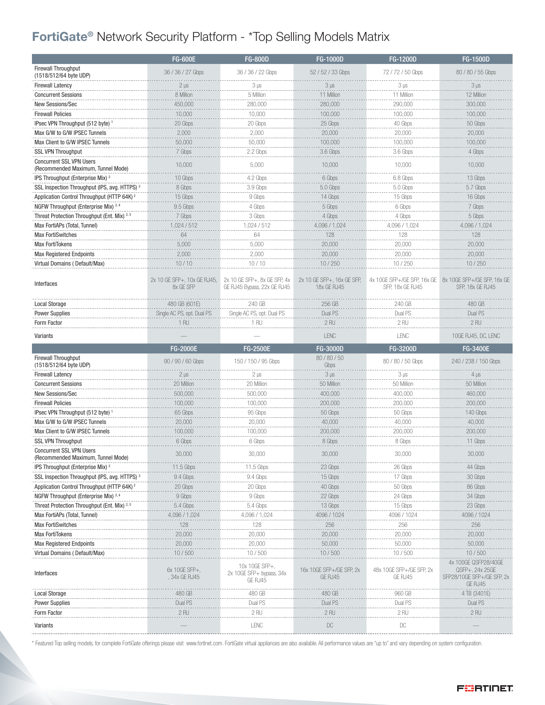### FortiGate® Network Security Platform - \*Top Selling Models Matrix

|                                                                  | <b>FG-600E</b>                             | <b>FG-800D</b>                                                  | $FG-1000D$                                | <b>FG-1200D</b>                                                             | <b>FG-1500D</b>                                                                            |
|------------------------------------------------------------------|--------------------------------------------|-----------------------------------------------------------------|-------------------------------------------|-----------------------------------------------------------------------------|--------------------------------------------------------------------------------------------|
| Firewall Throughput<br>(1518/512/64 byte UDP)                    | 36 / 36 / 27 Gbps                          | 36 / 36 / 22 Gbps                                               | 52 / 52 / 33 Gbps                         | 72 / 72 / 50 Gbps                                                           | 80 / 80 / 55 Gbps                                                                          |
| <b>Firewall Latency</b>                                          | $2 \mu s$                                  | $3 \mu s$                                                       | $3 \mu s$                                 | $3 \mu s$                                                                   | $3 \mu s$                                                                                  |
| <b>Concurrent Sessions</b>                                       | 8 Million                                  | 5 Million                                                       | 11 Million                                | 11 Million                                                                  | 12 Million                                                                                 |
| New Sessions/Sec                                                 | 450,000                                    | 280,000                                                         | 280,000                                   | 290,000                                                                     | 300,000                                                                                    |
| <b>Firewall Policies</b>                                         | 10,000                                     | 10,000                                                          | 100,000                                   | 100,000                                                                     | 100,000                                                                                    |
| IPsec VPN Throughput (512 byte) 1                                | 20 Gbps                                    | 20 Gbps                                                         | 25 Gbps                                   | 40 Gbps                                                                     | 50 Gbps                                                                                    |
| Max G/W to G/W IPSEC Tunnels                                     | 2,000                                      | 2,000                                                           | 20,000                                    | 20,000                                                                      | 20,000                                                                                     |
| Max Client to G/W IPSEC Tunnels                                  | 50,000                                     | 50,000                                                          | 100,000                                   | 100,000                                                                     | 100,000                                                                                    |
| <b>SSL VPN Throughput</b>                                        | 7 Gbps                                     | 2.2 Gbps                                                        | 3.6 Gbps                                  | 3.6 Gbps                                                                    | 4 Gbps                                                                                     |
| <b>Concurrent SSL VPN Users</b>                                  |                                            |                                                                 |                                           |                                                                             |                                                                                            |
| (Recommended Maximum, Tunnel Mode)                               | 10,000                                     | 5,000                                                           | 10,000                                    | 10,000                                                                      | 10,000                                                                                     |
| IPS Throughput (Enterprise Mix) <sup>2</sup>                     | 10 Gbps                                    | 4.2 Gbps                                                        | 6 Gbps                                    | 6.8 Gbps                                                                    | 13 Gbps                                                                                    |
| SSL Inspection Throughput (IPS, avg. HTTPS) <sup>3</sup>         | 8 Gbps                                     | 3.9 Gbps                                                        | 5.0 Gbps                                  | 5.0 Gbps                                                                    | 5.7 Gbps                                                                                   |
| Application Control Throughput (HTTP 64K) <sup>2</sup>           | 15 Gbps                                    | 9 Gbps                                                          | 14 Gbps                                   | 15 Gbps                                                                     | 16 Gbps                                                                                    |
| NGFW Throughput (Enterprise Mix) 2, 4                            | 9.5 Gbps                                   | 4 Gbps                                                          | 5 Gbps                                    | 6 Gbps                                                                      | 7 Gbps                                                                                     |
| Threat Protection Throughput (Ent. Mix) <sup>2,5</sup>           | 7 Gbps                                     | 3 Gbps                                                          | 4 Gbps                                    | 4 Gbps                                                                      | 5 Gbps                                                                                     |
| Max FortiAPs (Total, Tunnel)                                     | 1,024 / 512                                | 1,024 / 512                                                     | 4,096 / 1,024                             | 4,096 / 1,024                                                               | 4,096 / 1,024                                                                              |
| <b>Max FortiSwitches</b>                                         | 64                                         | 64                                                              | 128                                       | 128                                                                         | 128                                                                                        |
| <b>Max FortiTokens</b>                                           | 5,000                                      | 5,000                                                           | 20,000                                    | 20,000                                                                      | 20,000                                                                                     |
| <b>Max Registered Endpoints</b>                                  | 2,000                                      | 2,000                                                           | 20,000                                    | 20,000                                                                      | 20,000                                                                                     |
| Virtual Domains (Default/Max)                                    | 10/10                                      | 10/10                                                           | 10/250                                    | 10/250                                                                      | 10/250                                                                                     |
| Interfaces                                                       | 2x 10 GE SFP+, 10x GE RJ45,<br>8x GE SFP   | 2x 10 GE SFP+, 8x GE SFP, 4x<br>GE RJ45 Bypass, 22x GE RJ45     | 2x 10 GE SFP+, 16x GE SFP,<br>18x GE RJ45 | 4x 10GE SFP+/GE SFP, 16x GE 8x 10GE SFP+/GE SFP, 16x GE<br>SFP, 18x GE RJ45 | SFP, 18x GE RJ45                                                                           |
| <b>Local Storage</b>                                             | 480 GB (601E)                              | 240 GB                                                          | 256 GB                                    | 240 GB                                                                      | 480 GB                                                                                     |
| <b>Power Supplies</b>                                            | Single AC PS, opt. Dual PS                 | Single AC PS, opt. Dual PS                                      | Dual PS                                   | Dual PS                                                                     | Dual PS                                                                                    |
| Form Factor                                                      | 1 RU                                       | 1 RU                                                            | 2 RU                                      | 2 RU                                                                        | 2 RU                                                                                       |
| Variants                                                         |                                            |                                                                 | LENC                                      | LENC                                                                        | 10GE RJ45, DC, LENC                                                                        |
|                                                                  |                                            |                                                                 |                                           |                                                                             |                                                                                            |
|                                                                  | <b>FG-2000E</b>                            | <b>FG-2500E</b>                                                 | <b>FG-3000D</b>                           | <b>FG-3200D</b>                                                             | <b>FG-3400E</b>                                                                            |
| Firewall Throughput<br>(1518/512/64 byte UDP)                    | 90 / 90 / 60 Gbps                          | 150 / 150 / 95 Gbps                                             | 80/80/50<br>Gbps                          | 80 / 80 / 50 Gbps                                                           | 240 / 238 / 150 Gbps                                                                       |
| <b>Firewall Latency</b>                                          | $2 \mu s$                                  | $2 \mu s$                                                       | $3 \mu s$                                 | $3 \mu s$                                                                   | $4 \mu s$                                                                                  |
| <b>Concurrent Sessions</b>                                       | 20 Million                                 | 20 Million                                                      | 50 Million                                | 50 Million                                                                  | 50 Million                                                                                 |
| New Sessions/Sec                                                 | 500,000                                    | 500,000                                                         | 400,000                                   | 400,000                                                                     | 460,000                                                                                    |
| <b>Firewall Policies</b>                                         | 100,000                                    | 100,000                                                         | 200,000                                   | 200,000                                                                     | 200,000                                                                                    |
| IPsec VPN Throughput (512 byte) <sup>1</sup>                     | 65 Gbps                                    | 95 Gbps                                                         | 50 Gbps                                   | 50 Gbps                                                                     | 140 Gbps                                                                                   |
| Max G/W to G/W IPSEC Tunnels                                     | 20,000                                     | 20,000                                                          | 40,000                                    | 40,000                                                                      | 40,000                                                                                     |
| Max Client to G/W IPSEC Tunnels                                  | 100,000                                    | 100,000                                                         | 200,000                                   | 200,000                                                                     | 200,000                                                                                    |
| <b>SSL VPN Throughput</b>                                        | 6 Gbps                                     | 6 Gbps                                                          | 8 Gbps                                    | 8 Gbps                                                                      | 11 Gbps                                                                                    |
| <b>Concurrent SSL VPN Users</b>                                  | 30,000                                     | 30,000                                                          | 30,000                                    | 30,000                                                                      | 30,000                                                                                     |
| (Recommended Maximum, Tunnel Mode)                               |                                            |                                                                 |                                           |                                                                             |                                                                                            |
| IPS Throughput (Enterprise Mix) <sup>2</sup>                     | 11.5 Gbps                                  | 11.5 Gbps                                                       | 23 Gbps                                   | 26 Gbps                                                                     | 44 Gbps                                                                                    |
| SSL Inspection Throughput (IPS, avg. HTTPS) <sup>3</sup>         | 9.4 Gbps                                   | 9.4 Gbps                                                        | 15 Gbps                                   | 17 Gbps                                                                     | 30 Gbps                                                                                    |
| Application Control Throughput (HTTP 64K) <sup>2</sup>           | 20 Gbps                                    | 20 Gbps                                                         | 40 Gbps                                   | 50 Gbps                                                                     | 86 Gbps                                                                                    |
| NGFW Throughput (Enterprise Mix) 2,4                             | 9 Gbps                                     | 9 Gbps                                                          | 22 Gbps                                   | 24 Gbps                                                                     | 34 Gbps                                                                                    |
| Threat Protection Throughput (Ent. Mix) <sup>2,5</sup>           | 5.4 Gbps                                   | 5.4 Gbps                                                        | 13 Gbps                                   | 15 Gbps                                                                     | 23 Gbps                                                                                    |
| Max FortiAPs (Total, Tunnel)                                     | 4,096 / 1,024                              | 4,096 / 1,024                                                   | 4096 / 1024                               | 4096 / 1024                                                                 | 4096 / 1024                                                                                |
| <b>Max FortiSwitches</b>                                         | 128                                        | 128                                                             | 256                                       | 256                                                                         | 256                                                                                        |
| <b>Max FortiTokens</b>                                           | 20,000                                     | 20,000                                                          | 20,000                                    | 20,000                                                                      | 20,000                                                                                     |
| <b>Max Registered Endpoints</b><br>Virtual Domains (Default/Max) | 20,000                                     | 20,000                                                          | 50,000<br>10/500                          | 50,000                                                                      | 50,000                                                                                     |
| Interfaces                                                       | 10/500<br>$6x$ 10GE SFP+,<br>, 34x GE RJ45 | 10/500<br>10x 10GE SFP+,<br>2x 10GE SFP+ bypass, 34x<br>GE RJ45 | 16x 10GE SFP+/GE SFP, 2x<br>GE RJ45       | 10/500<br>48x 10GE SFP+/GE SFP, 2x<br>GE RJ45                               | 10/500<br>4x 100GE QSFP28/40GE<br>QSFP+, 24x 25GE<br>SFP28/10GE SFP+/GE SFP, 2x<br>GE RJ45 |
| <b>Local Storage</b>                                             | 480 GB                                     | 480 GB                                                          | 480 GB                                    | 960 GB                                                                      | 4 TB (3401E)                                                                               |
| <b>Power Supplies</b>                                            | Dual PS                                    | Dual PS                                                         | Dual PS                                   | Dual PS                                                                     | Dual PS                                                                                    |
| Form Factor                                                      | $2$ RU                                     | $2$ RU                                                          | $2$ RU                                    | $2$ RU                                                                      | $2$ RU                                                                                     |

\* Featured Top selling models, for complete FortiGate offerings please visit www.fortinet.com. FortiGate virtual appliances are also available. All performance values are "up to" and vary depending on system configuration.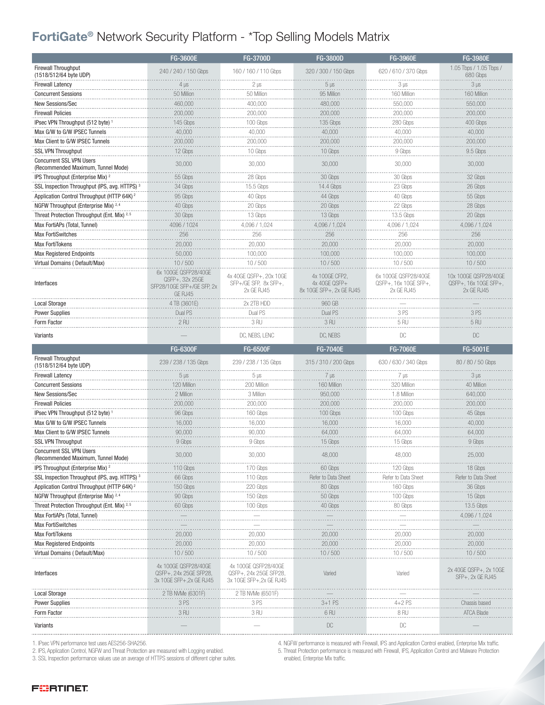### FortiGate® Network Security Platform - \*Top Selling Models Matrix

|                                                                       | FG-3600E                                                                         | <b>FG-3700D</b>                                                            | <b>FG-3800D</b>                                             | FG-3960E                                                    | FG-3980E                                                     |
|-----------------------------------------------------------------------|----------------------------------------------------------------------------------|----------------------------------------------------------------------------|-------------------------------------------------------------|-------------------------------------------------------------|--------------------------------------------------------------|
| <b>Firewall Throughput</b><br>(1518/512/64 byte UDP)                  | 240 / 240 / 150 Gbps                                                             | 160 / 160 / 110 Gbps                                                       | 320 / 300 / 150 Gbps                                        | 620 / 610 / 370 Gbps                                        | 1.05 Tbps / 1.05 Tbps /<br>680 Gbps                          |
| <b>Firewall Latency</b>                                               | 4 µs                                                                             | $2 \mu s$                                                                  | $5 \mu s$                                                   | $3 \mu s$                                                   | $3 \mu s$                                                    |
| <b>Concurrent Sessions</b>                                            | 50 Million                                                                       | 50 Million                                                                 | 95 Million                                                  | 160 Million                                                 | 160 Millior                                                  |
| New Sessions/Sec                                                      | 460,000                                                                          | 400,000                                                                    | 480,000                                                     | 550,000                                                     | 550,000                                                      |
| <b>Firewall Policies</b>                                              | 200,000                                                                          | 200,000                                                                    | 200,000                                                     | 200,000                                                     | 200,000                                                      |
| IPsec VPN Throughput (512 byte)                                       | 145 Gbps                                                                         | 100 Gbps                                                                   | 135 Gbps                                                    | 280 Gbps                                                    | 400 Gbps                                                     |
| Max G/W to G/W IPSEC Tunnels                                          | 40,000                                                                           | 40,000                                                                     | 40,000                                                      | 40,000                                                      | 40,000                                                       |
| Max Client to G/W IPSEC Tunnels                                       | 200,000                                                                          | 200,000                                                                    | 200,000                                                     | 200,000                                                     | 200,000                                                      |
| <b>SSL VPN Throughput</b>                                             | 12 Gbps                                                                          | 10 Gbps                                                                    | 10 Gbps                                                     | 9 Gbps                                                      | 9.5 Gbps                                                     |
| <b>Concurrent SSL VPN Users</b><br>(Recommended Maximum, Tunnel Mode) | 30,000                                                                           | 30,000                                                                     | 30,000                                                      | 30,000                                                      | 30,000                                                       |
| IPS Throughput (Enterprise Mix) <sup>2</sup>                          | 55 Gbps                                                                          | 28 Gbps                                                                    | 30 Gbps                                                     | 30 Gbps                                                     | 32 Gbps                                                      |
| SSL Inspection Throughput (IPS, avg. HTTPS) <sup>3</sup>              | 34 Gbps                                                                          | 15.5 Gbps                                                                  | 14.4 Gbps                                                   | 23 Gbps                                                     | 26 Gbps                                                      |
| Application Control Throughput (HTTP 64K) <sup>2</sup>                | 95 Gbps                                                                          | 40 Gbps                                                                    | 44 Gbps                                                     | 40 Gbps                                                     | 55 Gbps                                                      |
| NGFW Throughput (Enterprise Mix) 2, 4                                 | 40 Gbps                                                                          | 20 Gbps                                                                    | 20 Gbps                                                     | 22 Gbps                                                     | 28 Gbps                                                      |
| Threat Protection Throughput (Ent. Mix) 2,5                           | 30 Gbps                                                                          | 13 Gbps                                                                    | 13 Gbps                                                     | 13.5 Gbps                                                   | 20 Gbps                                                      |
| Max FortiAPs (Total, Tunnel)                                          | 4096 / 1024                                                                      | 4,096 / 1,024                                                              | 4,096 / 1,024                                               | 4,096 / 1,024                                               | 4,096 / 1,024                                                |
| <b>Max FortiSwitches</b>                                              | 256                                                                              | 256                                                                        | 256                                                         | 256                                                         | 256                                                          |
| <b>Max FortiTokens</b>                                                | 20,000                                                                           | 20,000                                                                     | 20,000                                                      | 20,000                                                      | 20,000                                                       |
| <b>Max Registered Endpoints</b>                                       | 50,000                                                                           | 100,000                                                                    | 100,000                                                     | 100,000                                                     | 100,000                                                      |
| Virtual Domains (Default/Max)                                         | 10/500                                                                           | 10/500                                                                     | 10/500                                                      | 10/500                                                      | 10/500                                                       |
| Interfaces                                                            | 6x 100GE QSFP28/40GE<br>QSFP+, 32x 25GE<br>SFP28/10GE SFP+/GE SFP, 2x<br>GE RJ45 | 4x 40GE QSFP+, 20x 10GE<br>SFP+/GE SFP, 8x SFP+,<br>2x GF RJ45             | 4x 100GE CFP2,<br>4x 40GE QSFP+<br>8x 10GE SFP+, 2x GE RJ45 | 6x 100GF OSFP28/40GF<br>QSFP+, 16x 10GE SFP+,<br>2x GE RJ45 | 10x 100GF OSFP28/40GF<br>QSFP+, 16x 10GE SFP+,<br>2x GE RJ45 |
| <b>Local Storage</b>                                                  | 4 TB (3601E)                                                                     | 2x 2TB HDD                                                                 | 960 GB                                                      |                                                             |                                                              |
| <b>Power Supplies</b>                                                 | Dual PS                                                                          | Dual PS                                                                    | Dual PS                                                     | 3 PS                                                        | 3PS                                                          |
| Form Factor                                                           | 2 <sub>RU</sub>                                                                  | 3 RU                                                                       | 3 RU                                                        | 5RU                                                         | 5 RU                                                         |
| Variants                                                              |                                                                                  | DC, NEBS, LENC                                                             | DC, NEBS                                                    | DC                                                          | DC                                                           |
|                                                                       |                                                                                  |                                                                            |                                                             |                                                             |                                                              |
|                                                                       |                                                                                  |                                                                            |                                                             |                                                             |                                                              |
|                                                                       | <b>FG-6300F</b>                                                                  | <b>FG-6500F</b>                                                            | <b>FG-7040E</b>                                             | <b>FG-7060E</b>                                             | FG-5001E                                                     |
| <b>Firewall Throughput</b><br>(1518/512/64 byte UDP)                  | 239 / 238 / 135 Gbps                                                             | 239 / 238 / 135 Gbps                                                       | 315 / 310 / 200 Gbps                                        | 630 / 630 / 340 Gbps                                        | 80 / 80 / 50 Gbps                                            |
| <b>Firewall Latency</b>                                               | $5 \mu s$                                                                        | $5 \mu s$                                                                  | $7 \mu s$                                                   | $7 \mu s$                                                   | $3 \mu s$                                                    |
| <b>Concurrent Sessions</b>                                            | 120 Million                                                                      | 200 Million                                                                | 160 Million                                                 | 320 Million                                                 | 40 Million                                                   |
| New Sessions/Sec                                                      | 2 Million                                                                        | 3 Million                                                                  | 950,000                                                     | 1.8 Million                                                 | 640,000                                                      |
| <b>Firewall Policies</b>                                              | 200,000                                                                          | 200,000                                                                    | 200,000                                                     | 200,000                                                     | 200.000                                                      |
| IPsec VPN Throughput (512 byte) 1                                     | 96 Gbps                                                                          | 160 Gbps                                                                   | 100 Gbps                                                    | 100 Gbps                                                    | 45 Gbps                                                      |
| Max G/W to G/W IPSEC Tunnels                                          | 16,000                                                                           | 16,000                                                                     | 16,000                                                      | 16,000                                                      | 40,000                                                       |
| Max Client to G/W IPSEC Tunnels                                       | 90,000                                                                           | 90,000                                                                     | 64,000                                                      | 64,000                                                      | 64,000                                                       |
| SSL VPN Throughput                                                    | 9 Gbps                                                                           | 9 Gbps                                                                     | 15 Gbps                                                     | 15 Gbps                                                     | 9 Gbps                                                       |
| <b>Concurrent SSL VPN Users</b><br>(Recommended Maximum, Tunnel Mode) | 30,000                                                                           | 30,000                                                                     | 48,000                                                      | 48,000                                                      | 25,000                                                       |
| IPS Throughput (Enterprise Mix) <sup>2</sup>                          | 110 Gbps                                                                         | 170 Gbps                                                                   | 60 Gbps                                                     | 120 Gbps                                                    | 18 Gbps                                                      |
| SSL Inspection Throughput (IPS, avg. HTTPS) <sup>3</sup>              | 66 Gbps                                                                          | 110 Gbps                                                                   | Refer to Data Sheet                                         | Refer to Data Sheet                                         | Refer to Data Shee                                           |
| Application Control Throughput (HTTP 64K) <sup>2</sup>                | 150 Gbps                                                                         | 220 Gbps                                                                   | 80 Gbps                                                     | 160 Gbps                                                    | 36 Gbps                                                      |
| NGFW Throughput (Enterprise Mix) 2, 4                                 | 90 Gbps                                                                          | 150 Gbps                                                                   | 50 Gbps                                                     | 100 Gbps                                                    | 15 Gbps                                                      |
| Threat Protection Throughput (Ent. Mix) 2,8                           | 60 Gbps                                                                          | 100 Gbps                                                                   | 40 Gbps                                                     | 80 Gbps                                                     | 13.5 Gbps                                                    |
| Max FortiAPs (Total, Tunnel)                                          |                                                                                  |                                                                            |                                                             |                                                             | 4.096 / 1.024                                                |
| <b>Max FortiSwitches</b>                                              |                                                                                  |                                                                            |                                                             |                                                             |                                                              |
| <b>Max FortiTokens</b>                                                | 20,000                                                                           | 20,000                                                                     | 20,000                                                      | 20,000                                                      | 20,000                                                       |
| <b>Max Registered Endpoints</b>                                       | 20,000                                                                           | 20,000                                                                     | 20,000                                                      | 20,000                                                      | 20,000                                                       |
| Virtual Domains (Default/Max)                                         | 10/500                                                                           | 10/500                                                                     | 10/500                                                      | 10/500                                                      | 10/500                                                       |
| Interfaces                                                            | 4x 100GE QSFP28/40GE<br>QSFP+, 24x 25GE SFP28,<br>3x 10GE SFP+, 2x GE RJ45       | 4x 100GE QSFP28/40GE<br>QSFP+, 24x 25GE SFP28,<br>3x 10GE SFP+, 2x GE RJ45 | Varied                                                      | Varied                                                      | 2x 40GE QSFP+, 2x 10GE<br>SFP+, 2x GE RJ45                   |
| <b>Local Storage</b>                                                  | 2 TB NVMe (6301F)                                                                | 2 TB NVMe (6501F)                                                          |                                                             |                                                             |                                                              |
| <b>Power Supplies</b>                                                 | 3 PS                                                                             | 3 PS                                                                       | 3+1 PS                                                      | $4+2$ PS                                                    | Chassis based                                                |
| Form Factor                                                           | 3 RU                                                                             | 3 RU                                                                       | 6 RU                                                        | 8 RU                                                        | ATCA Blade                                                   |

1. IPsec VPN performance test uses AES256-SHA256.

2. IPS, Application Control, NGFW and Threat Protection are measured with Logging enabled.

3. SSL Inspection performance values use an average of HTTPS sessions of different cipher suites.

4. NGFW performance is measured with Firewall, IPS and Application Control enabled, Enterprise Mix traffic. 5. Threat Protection performance is measured with Firewall, IPS, Application Control and Malware Protection enabled, Enterprise Mix traffic.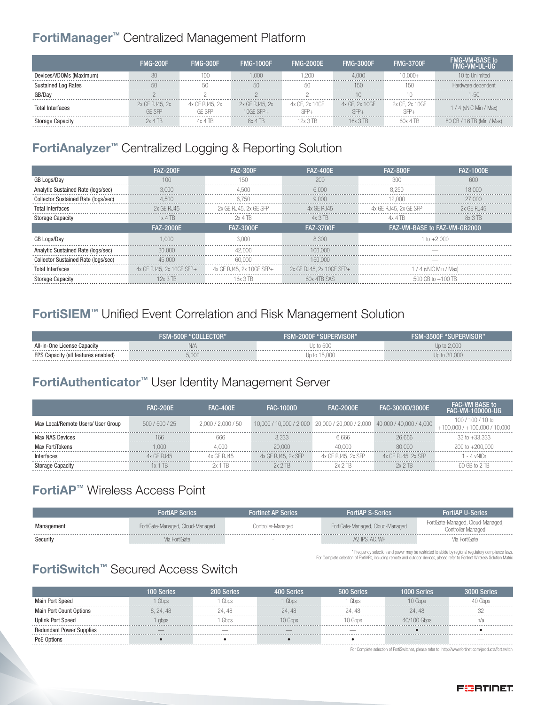#### FortiManager™ Centralized Management Platform

|                            | <b>FMG-200F</b> | <b>FMG-300F</b> | <b>FMG-1000F</b>          | <b>FMG-2000F</b> | <b>FMG-3000F</b> | <b>FMG-3700F</b> | 'MG-VM-TIL-LIG.      |
|----------------------------|-----------------|-----------------|---------------------------|------------------|------------------|------------------|----------------------|
| Devices/VDOMs (Maximum)    |                 |                 |                           |                  |                  |                  | Inlimited            |
| <b>Sustained Log Rates</b> |                 |                 |                           |                  |                  |                  |                      |
| GB/Dav                     |                 |                 |                           |                  |                  |                  |                      |
| Total Interfaces           | 2x GE RJ45, 2x  | 4x GE RJ45, 2x  | 2x GE RJ45, 2x<br>GE SEP⊥ | GE. 2x 10GE      | GE. 2x 10GE      | 2x GE, 2x 10GE   | / 4 (vNIC Min / Max) |
|                            |                 |                 | $A$ TR                    |                  |                  |                  | $16$ TB (Min / Max)  |

### FortiAnalyzer™ Centralized Logging & Reporting Solution

|                                            | <b>FAZ-200F</b>          | <b>FAZ-300F</b>          | <b>FAZ-400E</b>          | <b>FAZ-800F</b>              | <b>FAZ-1000E</b>       |
|--------------------------------------------|--------------------------|--------------------------|--------------------------|------------------------------|------------------------|
| GB Logs/Day                                |                          | 150                      | 200                      |                              |                        |
| Analytic Sustained Rate (logs/sec)         |                          |                          | 6.000                    | 8 250                        | 8.000                  |
| <b>Collector Sustained Rate (logs/sec)</b> | 4.500                    | 6750                     | 9 000                    | I 2.000                      | 27.000                 |
| <b>Total Interfaces</b>                    | 2x GF RJ45               | 2x GE RJ45, 2x GE SFP    | 4x GF R.145              | 4x GE RJ45, 2x GE SFP        | 2x GF R.145            |
| <b>Storage Capacity</b>                    | 1x 4 TB                  | 2x 4 TB                  | 4x 3 TB                  | 4x 4 TB                      | 8x 3 TB                |
|                                            | <b>FAZ-2000E</b>         | <b>FAZ-3000F</b>         | <b>FAZ-3700F</b>         | FAZ-VM-BASE to FAZ-VM-GB2000 |                        |
|                                            | 1.000                    | 3 UUL                    | 8.300                    | $1 to +2.000$                |                        |
| Analytic Sustained Rate (logs/sec)         | 30.000                   | 42 NOO                   | 100.000                  |                              |                        |
| <b>Collector Sustained Rate (logs/sec)</b> | 45,000                   | 60,000                   | 150.000                  |                              |                        |
| Total Interfaces                           | 4x GE RJ45, 2x 10GE SFP+ | 4x GE RJ45. 2x 10GE SFP+ | 2x GE RJ45, 2x 10GE SFP+ |                              | 1 / 4 (vNIC Min / Max) |
| <b>Storage Capacity</b>                    |                          | 16x 3. IB                | 60x 41B SAS              | $500$ GB to $+100$ TF        |                        |

#### FortiSIEM™ Unified Event Correlation and Risk Management Solution

|                                     | FSM-500F "COLLECTOR" | <b>FSM-2000F "SUPERVISOR"</b> | <b>SUPERVISOR"</b><br>FSM-3500F |
|-------------------------------------|----------------------|-------------------------------|---------------------------------|
| All-in-One License Capacity         |                      | Jp to 500                     | Up to 2,000                     |
| EPS Capacity (all features enabled) | 5.00(                | Up to 15,000                  |                                 |

#### FortiAuthenticator™ User Identity Management Server

|                                    | <b>FAC-200F</b> | <b>FAC-400F</b>    | <b>FAC-1000D</b>   | <b>FAC-2000F</b>                                                        | FAC-3000D/3000E    | FAL:-VM BASF to<br>FAC-VM-100000-UG                   |
|------------------------------------|-----------------|--------------------|--------------------|-------------------------------------------------------------------------|--------------------|-------------------------------------------------------|
| Max Local/Remote Users/ User Group | 500/500/25      | 2.000 / 2.000 / 50 |                    | 10,000 / 10,000 / 2,000 20,000 / 20,000 / 2,000 40,000 / 40,000 / 4,000 |                    | $100/100/10$ to<br>$+100.000$ / $+100.000$ / $10.000$ |
| Max NAS Devices                    |                 | 666                | 3.333              | 6.666                                                                   | 26.666             | $33$ to $+33.333$                                     |
| Max FortiTokens                    | non             |                    | 20 UUU             |                                                                         | 80,000             | $200 \text{ to } +200.000$                            |
| Interfaces                         | GF R.I45        | x GF R.145         | 4x GF RJ45, 2x SFP | 4x GE RJ45, 2x SFP                                                      | 4x GF RJ45, 2x SFP | 4 vNICs                                               |
|                                    |                 | TR                 | 2x 2 TR            |                                                                         | 2x 2 TR            |                                                       |

#### FortiAP™ Wireless Access Point

|            | <b>FortiAP Series</b>            | <b>Fortinet AP Series</b> | <b>FortiAP S-Series</b>          | <b>FortiAP U-Series</b>                                 |
|------------|----------------------------------|---------------------------|----------------------------------|---------------------------------------------------------|
| Management | FortiGate-Managed, Cloud-Managed | Controller-Managed        | FortiGate-Managed, Cloud-Managed | FortiGate-Managed, Cloud-Managed,<br>Controller-Managed |
| Security   | Via FortiGate                    |                           | AV. IPS. AC. WF                  | Via FortiGate.                                          |
|            |                                  |                           |                                  |                                                         |

\* Frequency selection and power may be restricted to abide by regional regulatory compliance laws. For Complete selection of FortiAPs, including remote and outdoor devices, please refer to Fortinet Wireless Solution Matrix

#### FortiSwitch™ Secured Access Switch

|                                 |         | <b>Series</b> |        | Serie! |        |  |
|---------------------------------|---------|---------------|--------|--------|--------|--|
| Main Port Speed                 |         |               |        |        |        |  |
| Main Port Count Options         | 8.24.48 | - 42          | 24. 48 |        | 24. 48 |  |
| <b>Uplink Port Speed</b>        | abps    |               |        |        |        |  |
| <b>Redundant Power Supplies</b> |         |               |        |        |        |  |
|                                 |         |               |        |        |        |  |

For Complete selection of FortiSwitches, please refer to http://www.fortinet.com/products/fortiswitch

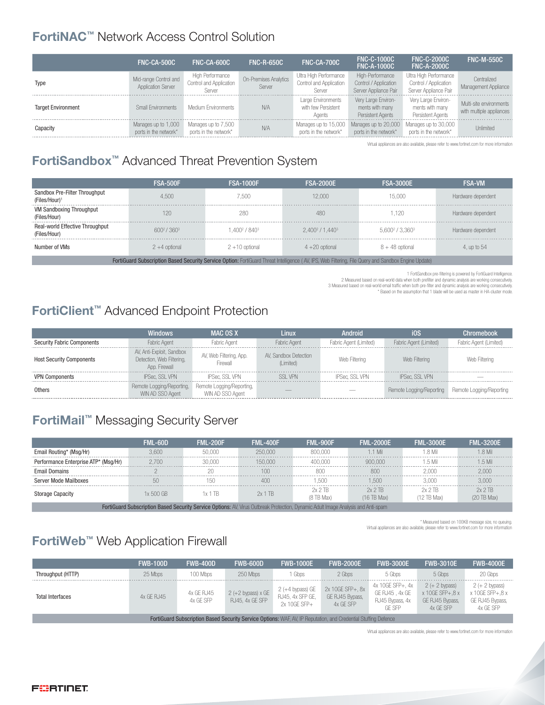#### FortiNAC™ Network Access Control Solution

|                           | FNC-CA-500C                                        | FNC-CA-600C                                           | <b>FNC-R-650C</b>               | FNC-CA-700C                                                 | <b>FNC-C-1000C</b><br><b>FNC-A-1000C</b>                           | <b>FNC-C-2000C</b><br><b>FNC-A-2000C</b>                                 | <b>FNC-M-550C</b>                                   |
|---------------------------|----------------------------------------------------|-------------------------------------------------------|---------------------------------|-------------------------------------------------------------|--------------------------------------------------------------------|--------------------------------------------------------------------------|-----------------------------------------------------|
| Type                      | Mid-range Control and<br><b>Application Server</b> | High Performance<br>Control and Application<br>Server | On-Premises Analytics<br>Server | Ultra High Performance<br>Control and Application<br>Server | High-Performance<br>Control / Application<br>Server Appliance Pair | Ultra High Performance<br>Control / Application<br>Server Appliance Pair | Centralized<br>Management Appliance                 |
| <b>Target Environment</b> | Small Environments                                 | Medium Environments                                   | N/A                             | Large Environments<br>with few Persistent<br>Agents         | Very Large Environ-<br>ments with many<br>Persistent Agents        | Very Large Environ-<br>ments with many<br>Persistent Agents              | Multi-site environments<br>with multiple appliances |
| Capacity                  | Manages up to 1,000<br>ports in the network*       | Manages up to 7,500<br>ports in the network*          | N/A                             | Manages up to 15,000<br>ports in the network*               | Manages up to 20,000<br>ports in the network*                      | Manages up to 30,000<br>ports in the network*                            | Unlimited                                           |

Virtual appliances are also available, please refer to www.fortinet.com for more information

## FortiSandbox™ Advanced Threat Prevention System

|                                                            | <b>FSA-500F</b>                    | <b>FSA-1000F</b>                      | <b>FSA-2000E</b>                                                                                                                                     | <b>FSA-3000E</b>    | <b>FSA-VM</b>      |
|------------------------------------------------------------|------------------------------------|---------------------------------------|------------------------------------------------------------------------------------------------------------------------------------------------------|---------------------|--------------------|
| Sandbox Pre-Filter Throughput<br>(Files/Hour) <sup>1</sup> | 4.500                              | 7.500                                 | 12,000                                                                                                                                               | 15.000              | Hardware dependent |
| <b>VM Sandboxing Throughput</b><br>(Files/Hour)            | 120                                | 280                                   | 480                                                                                                                                                  | .120                | Hardware dependent |
| Real-world Effective Throughput<br>(Files/Hour)            | 600 <sup>2</sup> /360 <sup>3</sup> | 1.400 <sup>2</sup> / 840 <sup>3</sup> | 2.400 <sup>2</sup> / 1.440 <sup>3</sup>                                                                                                              | $5.600^2 / 3.360^3$ | Hardware dependent |
| Number of VMs                                              | $2 + 4$ optional                   | $2+10$ optional                       | $4+20$ optional                                                                                                                                      | $8 + 48$ optional   | 4, up to 54        |
|                                                            |                                    |                                       | FortiGuard Subscription Based Security Service Option: FortiGuard Threat Intelligence (AV, IPS, Web Filtering, File Query and Sandbox Engine Update) |                     |                    |

1 FortiSandbox pre-filtering is powered by FortiGuard Intelligence.<br>2 Measured based on real-world data when both prefilter and dynamic analysis are working consecutively.

3 Measured based on real-world email traffic when both pre-filter and dynamic analysis are working consecutively. \* Based on the assumption that 1 blade will be used as master in HA-cluster mode.

### FortiClient™ Advanced Endpoint Protection

|                                   | Windows.                                                                | MAC OS X                            | Linux                              | Android                |                               |                          |
|-----------------------------------|-------------------------------------------------------------------------|-------------------------------------|------------------------------------|------------------------|-------------------------------|--------------------------|
| <b>Security Fabric Components</b> | <b>Fabric Agent</b>                                                     | Fabric Agent                        | <b>Fabric Agent</b>                | Fabric Agent (Limited) | <b>Fabric Agent (Limited)</b> | Fabric Agent (Limited)   |
| <b>Host Security Components</b>   | AV, Anti-Exploit, Sandbox<br>Detection, Web Filtering,<br>App. Firewall | AV, Web Filtering, App.<br>Firewall | AV, Sandbox Detection<br>(Limited) | Web Filtering          | Web Filtering                 | Web Filtering            |
| <b>VPN Components</b>             | <b>IPSec. SSL VPN</b>                                                   | <b>IPSec. SSL VPN</b>               | <b><i>RSI VPN</i></b>              | <b>IPSec. SSL VPN</b>  | <b>IPSec. SSL VPN</b>         |                          |
| Others                            | Remote Logging/Reporting,<br>. AD SSO Agent                             | Remote Logging/Reporting.           |                                    |                        | Remote Logging/Reporting      | Remote Logging/Reporting |

### FortiMail™ Messaging Security Server

|                                                                                                               | FMI -60D | <b>FML-200F</b> | FMI -400F | <b>FMI-900F</b> | EMI -2000E. | FMI -3000F | FMI -3200F |  |  |
|---------------------------------------------------------------------------------------------------------------|----------|-----------------|-----------|-----------------|-------------|------------|------------|--|--|
| Email Routing* (Msg/Hr)                                                                                       |          |                 | ) NUL     |                 | .1 Mil      | 8 Mil      | .8 Mil     |  |  |
| Performance Enterprise ATP* (Msg/Hr)                                                                          |          |                 |           |                 |             |            | $.5$ Mil   |  |  |
| <b>Email Domains</b>                                                                                          |          |                 |           |                 |             |            |            |  |  |
| Server Mode Mailboxes                                                                                         |          |                 |           |                 |             |            |            |  |  |
|                                                                                                               | x 500 GB |                 | 2x 1TB    | Max             | 2x 2 TR     | B Max      | 2 TB       |  |  |
| FUGURI LUBURG HOLLOW MULL OUTPUT<br><b>COLLEGE</b><br>$\sim$ $\sim$<br>$\mathbf{A}$ $\mathbf{A}$ $\mathbf{A}$ |          |                 |           |                 |             |            |            |  |  |

FortiGuard Subscription Based Security Service Options: AV, Virus Outbreak Protection, Dynamic Adult Image Analysis and Anti-spam

\* Measured based on 100KB message size, no queuing.

Virtual appliances are also available, please refer to www.fortinet.com for more information

### FortiWeb™ Web Application Firewall

|                                                                                                                 | <b>FWB-100D</b> | <b>FWB-400D</b> | <b>FWB-600D</b>                         | <b>FWB-1000E</b>                                       | <b>FWB-2000E</b>                                 | <b>FWB-3000E</b>                                                | <b>FWB-3010E</b>                                                     | <b>FWB-4000E</b>                                                    |
|-----------------------------------------------------------------------------------------------------------------|-----------------|-----------------|-----------------------------------------|--------------------------------------------------------|--------------------------------------------------|-----------------------------------------------------------------|----------------------------------------------------------------------|---------------------------------------------------------------------|
| Throughput (HTTP)                                                                                               | 25 Mbps         | 100 Mbps        | 250 Mbps                                | Gbps                                                   | 2 Gbps                                           | 5 Gbps                                                          | 5 Gbps                                                               | 20 Gbps                                                             |
| <b>Total Interfaces</b>                                                                                         | 4x GE RJ45      |                 | $2 (+2$ bypass) x GE<br>RJ45, 4x GE SFP | $2 (+4$ bypass) GE<br>RJ45, 4x SFP GE,<br>2x 10GF SFP+ | 2x 10GE SFP+, 8x<br>GE RJ45 Bypass,<br>4x GE SFP | 4x 10GE SFP+, 4x<br>GE RJ45, 4x GE<br>RJ45 Bypass, 4x<br>GF SFP | $2 (+ 2$ bypass)<br>x 10GE SFP+, 8 x<br>GE RJ45 Bypass,<br>4x GF SFP | $2 (+ 2$ bypass)<br>x 10GE SFP+,8 x<br>GE RJ45 Bypass,<br>4x GE SFP |
| FortiGuard Subscription Based Security Service Options: WAF, AV, IP Reputation, and Credential Stuffing Defence |                 |                 |                                         |                                                        |                                                  |                                                                 |                                                                      |                                                                     |

Virtual appliances are also available, please refer to www.fortinet.com for more information